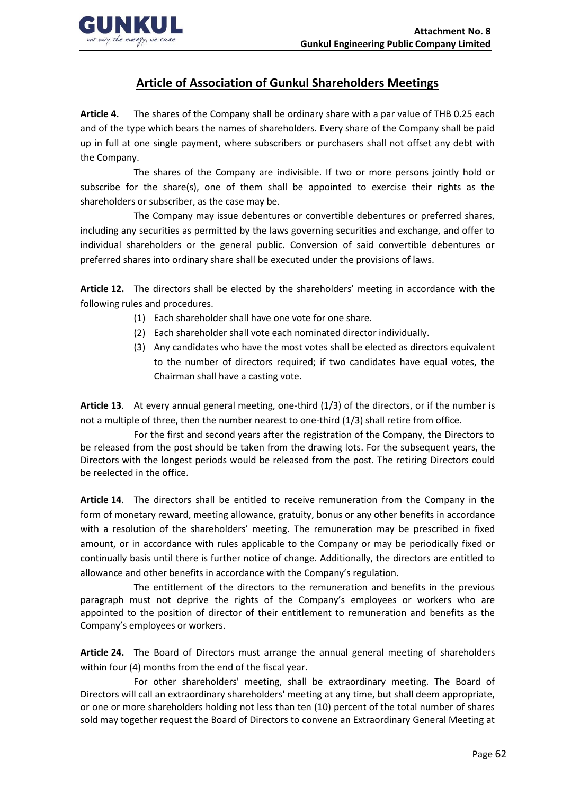

## **Article of Association of Gunkul Shareholders Meetings**

**Article 4.** The shares of the Company shall be ordinary share with a par value of THB 0.25 each and of the type which bears the names of shareholders. Every share of the Company shall be paid up in full at one single payment, where subscribers or purchasers shall not offset any debt with the Company.

The shares of the Company are indivisible. If two or more persons jointly hold or subscribe for the share(s), one of them shall be appointed to exercise their rights as the shareholders or subscriber, as the case may be.

The Company may issue debentures or convertible debentures or preferred shares, including any securities as permitted by the laws governing securities and exchange, and offer to individual shareholders or the general public. Conversion of said convertible debentures or preferred shares into ordinary share shall be executed under the provisions of laws.

**Article 12.** The directors shall be elected by the shareholders' meeting in accordance with the following rules and procedures.

- (1) Each shareholder shall have one vote for one share.
- (2) Each shareholder shall vote each nominated director individually.
- (3) Any candidates who have the most votes shall be elected as directors equivalent to the number of directors required; if two candidates have equal votes, the Chairman shall have a casting vote.

**Article 13**. At every annual general meeting, one-third (1/3) of the directors, or if the number is not a multiple of three, then the number nearest to one-third (1/3) shall retire from office.

For the first and second years after the registration of the Company, the Directors to be released from the post should be taken from the drawing lots. For the subsequent years, the Directors with the longest periods would be released from the post. The retiring Directors could be reelected in the office.

**Article 14**. The directors shall be entitled to receive remuneration from the Company in the form of monetary reward, meeting allowance, gratuity, bonus or any other benefits in accordance with a resolution of the shareholders' meeting. The remuneration may be prescribed in fixed amount, or in accordance with rules applicable to the Company or may be periodically fixed or continually basis until there is further notice of change. Additionally, the directors are entitled to allowance and other benefits in accordance with the Company's regulation.

The entitlement of the directors to the remuneration and benefits in the previous paragraph must not deprive the rights of the Company's employees or workers who are appointed to the position of director of their entitlement to remuneration and benefits as the Company's employees or workers.

**Article 24.** The Board of Directors must arrange the annual general meeting of shareholders within four (4) months from the end of the fiscal year.

For other shareholders' meeting, shall be extraordinary meeting. The Board of Directors will call an extraordinary shareholders' meeting at any time, but shall deem appropriate, or one or more shareholders holding not less than ten (10) percent of the total number of shares sold may together request the Board of Directors to convene an Extraordinary General Meeting at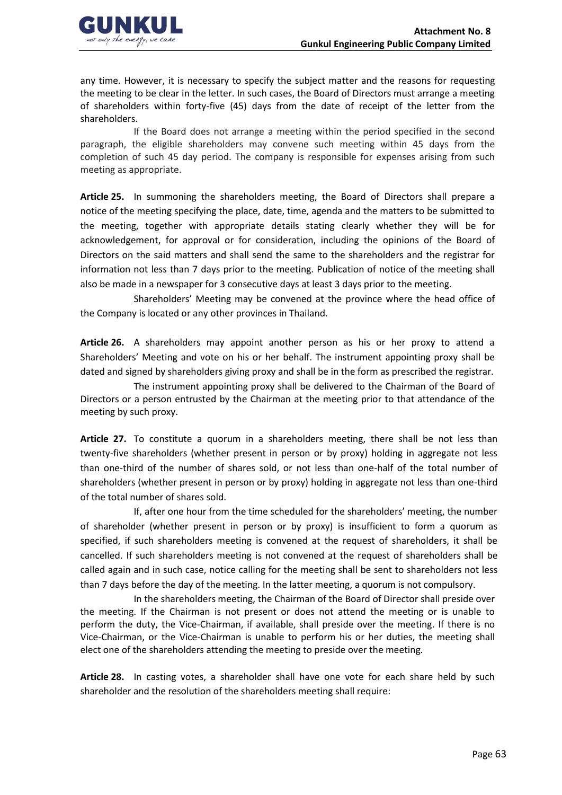

any time. However, it is necessary to specify the subject matter and the reasons for requesting the meeting to be clear in the letter. In such cases, the Board of Directors must arrange a meeting of shareholders within forty-five (45) days from the date of receipt of the letter from the shareholders.

If the Board does not arrange a meeting within the period specified in the second paragraph, the eligible shareholders may convene such meeting within 45 days from the completion of such 45 day period. The company is responsible for expenses arising from such meeting as appropriate.

**Article 25.** In summoning the shareholders meeting, the Board of Directors shall prepare a notice of the meeting specifying the place, date, time, agenda and the matters to be submitted to the meeting, together with appropriate details stating clearly whether they will be for acknowledgement, for approval or for consideration, including the opinions of the Board of Directors on the said matters and shall send the same to the shareholders and the registrar for information not less than 7 days prior to the meeting. Publication of notice of the meeting shall also be made in a newspaper for 3 consecutive days at least 3 days prior to the meeting.

Shareholders' Meeting may be convened at the province where the head office of the Company is located or any other provinces in Thailand.

**Article 26.** A shareholders may appoint another person as his or her proxy to attend a Shareholders' Meeting and vote on his or her behalf. The instrument appointing proxy shall be dated and signed by shareholders giving proxy and shall be in the form as prescribed the registrar.

The instrument appointing proxy shall be delivered to the Chairman of the Board of Directors or a person entrusted by the Chairman at the meeting prior to that attendance of the meeting by such proxy.

**Article 27.** To constitute a quorum in a shareholders meeting, there shall be not less than twenty-five shareholders (whether present in person or by proxy) holding in aggregate not less than one-third of the number of shares sold, or not less than one-half of the total number of shareholders (whether present in person or by proxy) holding in aggregate not less than one-third of the total number of shares sold.

If, after one hour from the time scheduled for the shareholders' meeting, the number of shareholder (whether present in person or by proxy) is insufficient to form a quorum as specified, if such shareholders meeting is convened at the request of shareholders, it shall be cancelled. If such shareholders meeting is not convened at the request of shareholders shall be called again and in such case, notice calling for the meeting shall be sent to shareholders not less than 7 days before the day of the meeting. In the latter meeting, a quorum is not compulsory.

In the shareholders meeting, the Chairman of the Board of Director shall preside over the meeting. If the Chairman is not present or does not attend the meeting or is unable to perform the duty, the Vice-Chairman, if available, shall preside over the meeting. If there is no Vice-Chairman, or the Vice-Chairman is unable to perform his or her duties, the meeting shall elect one of the shareholders attending the meeting to preside over the meeting.

**Article 28.** In casting votes, a shareholder shall have one vote for each share held by such shareholder and the resolution of the shareholders meeting shall require: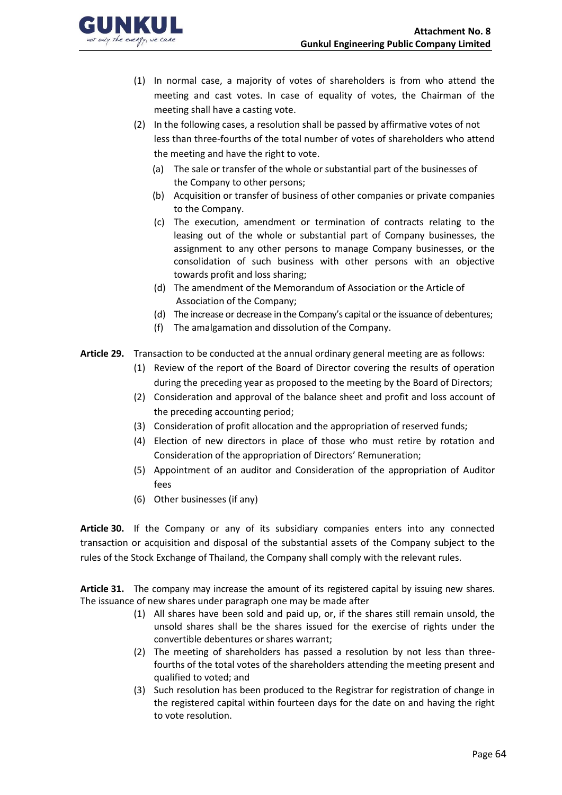

- (1) In normal case, a majority of votes of shareholders is from who attend the meeting and cast votes. In case of equality of votes, the Chairman of the meeting shall have a casting vote.
- (2) In the following cases, a resolution shall be passed by affirmative votes of not less than three-fourths of the total number of votes of shareholders who attend the meeting and have the right to vote.
	- (a) The sale or transfer of the whole or substantial part of the businesses of the Company to other persons;
	- (b) Acquisition or transfer of business of other companies or private companies to the Company.
	- (c) The execution, amendment or termination of contracts relating to the leasing out of the whole or substantial part of Company businesses, the assignment to any other persons to manage Company businesses, or the consolidation of such business with other persons with an objective towards profit and loss sharing;
	- (d) The amendment of the Memorandum of Association or the Article of Association of the Company;
	- (d) The increase or decrease in the Company's capital or the issuance of debentures;
	- (f) The amalgamation and dissolution of the Company.
- **Article 29.** Transaction to be conducted at the annual ordinary general meeting are as follows:
	- (1) Review of the report of the Board of Director covering the results of operation during the preceding year as proposed to the meeting by the Board of Directors;
	- (2) Consideration and approval of the balance sheet and profit and loss account of the preceding accounting period;
	- (3) Consideration of profit allocation and the appropriation of reserved funds;
	- (4) Election of new directors in place of those who must retire by rotation and Consideration of the appropriation of Directors' Remuneration;
	- (5) Appointment of an auditor and Consideration of the appropriation of Auditor fees
	- (6) Other businesses (if any)

**Article 30.** If the Company or any of its subsidiary companies enters into any connected transaction or acquisition and disposal of the substantial assets of the Company subject to the rules of the Stock Exchange of Thailand, the Company shall comply with the relevant rules.

**Article 31.** The company may increase the amount of its registered capital by issuing new shares. The issuance of new shares under paragraph one may be made after

- (1) All shares have been sold and paid up, or, if the shares still remain unsold, the unsold shares shall be the shares issued for the exercise of rights under the convertible debentures or shares warrant;
- (2) The meeting of shareholders has passed a resolution by not less than threefourths of the total votes of the shareholders attending the meeting present and qualified to voted; and
- (3) Such resolution has been produced to the Registrar for registration of change in the registered capital within fourteen days for the date on and having the right to vote resolution.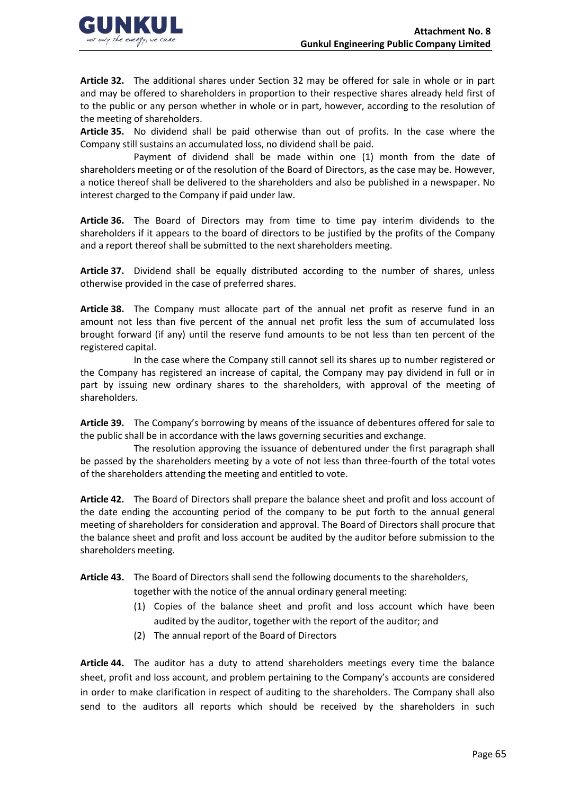

**Article 32.** The additional shares under Section 32 may be offered for sale in whole or in part and may be offered to shareholders in proportion to their respective shares already held first of to the public or any person whether in whole or in part, however, according to the resolution of the meeting of shareholders.

**Article 35.** No dividend shall be paid otherwise than out of profits. In the case where the Company still sustains an accumulated loss, no dividend shall be paid.

Payment of dividend shall be made within one (1) month from the date of shareholders meeting or of the resolution of the Board of Directors, as the case may be. However, a notice thereof shall be delivered to the shareholders and also be published in a newspaper. No interest charged to the Company if paid under law.

**Article 36.** The Board of Directors may from time to time pay interim dividends to the shareholders if it appears to the board of directors to be justified by the profits of the Company and a report thereof shall be submitted to the next shareholders meeting.

**Article 37.** Dividend shall be equally distributed according to the number of shares, unless otherwise provided in the case of preferred shares.

**Article 38.** The Company must allocate part of the annual net profit as reserve fund in an amount not less than five percent of the annual net profit less the sum of accumulated loss brought forward (if any) until the reserve fund amounts to be not less than ten percent of the registered capital.

In the case where the Company still cannot sell its shares up to number registered or the Company has registered an increase of capital, the Company may pay dividend in full or in part by issuing new ordinary shares to the shareholders, with approval of the meeting of shareholders.

**Article 39.** The Company's borrowing by means of the issuance of debentures offered for sale to the public shall be in accordance with the laws governing securities and exchange.

The resolution approving the issuance of debentured under the first paragraph shall be passed by the shareholders meeting by a vote of not less than three-fourth of the total votes of the shareholders attending the meeting and entitled to vote.

**Article 42.** The Board of Directors shall prepare the balance sheet and profit and loss account of the date ending the accounting period of the company to be put forth to the annual general meeting of shareholders for consideration and approval. The Board of Directors shall procure that the balance sheet and profit and loss account be audited by the auditor before submission to the shareholders meeting.

**Article 43.** The Board of Directors shall send the following documents to the shareholders,

together with the notice of the annual ordinary general meeting:

- (1) Copies of the balance sheet and profit and loss account which have been audited by the auditor, together with the report of the auditor; and
- (2) The annual report of the Board of Directors

**Article 44.** The auditor has a duty to attend shareholders meetings every time the balance sheet, profit and loss account, and problem pertaining to the Company's accounts are considered in order to make clarification in respect of auditing to the shareholders. The Company shall also send to the auditors all reports which should be received by the shareholders in such